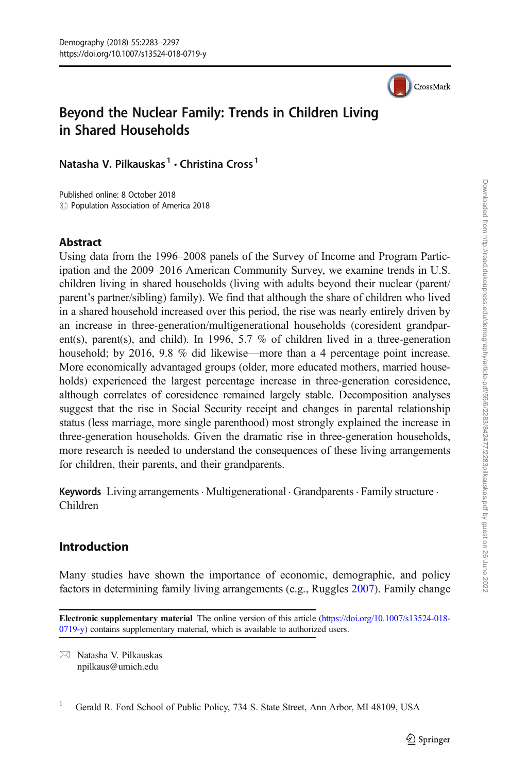

# Beyond the Nuclear Family: Trends in Children Living in Shared Households

Natasha V. Pilkauskas<sup>1</sup> · Christina Cross<sup>1</sup>

Published online: 8 October 2018  $\circled{c}$  Population Association of America 2018

## **Abstract**

Using data from the 1996–2008 panels of the Survey of Income and Program Participation and the 2009–2016 American Community Survey, we examine trends in U.S. children living in shared households (living with adults beyond their nuclear (parent/ parent's partner/sibling) family). We find that although the share of children who lived in a shared household increased over this period, the rise was nearly entirely driven by an increase in three-generation/multigenerational households (coresident grandparent(s), parent(s), and child). In 1996, 5.7 % of children lived in a three-generation household; by 2016, 9.8 % did likewise—more than a 4 percentage point increase. More economically advantaged groups (older, more educated mothers, married households) experienced the largest percentage increase in three-generation coresidence, although correlates of coresidence remained largely stable. Decomposition analyses suggest that the rise in Social Security receipt and changes in parental relationship status (less marriage, more single parenthood) most strongly explained the increase in three-generation households. Given the dramatic rise in three-generation households, more research is needed to understand the consequences of these living arrangements for children, their parents, and their grandparents.

Keywords Living arrangements. Multigenerational . Grandparents. Family structure . Children

## Introduction

Many studies have shown the importance of economic, demographic, and policy factors in determining family living arrangements (e.g., Ruggles [2007\)](#page-14-0). Family change

Electronic supplementary material The online version of this article [\(https://doi.org/10.1007/s13524-018-](https://doi.org/10.1007/s13524-018-0719-y) [0719-y\)](https://doi.org/10.1007/s13524-018-0719-y) contains supplementary material, which is available to authorized users.

 $\boxtimes$  Natasha V. Pilkauskas [npilkaus@umich.edu](mailto:npilkaus@umich.edu)

<sup>1</sup> Gerald R. Ford School of Public Policy, 734 S. State Street, Ann Arbor, MI 48109, USA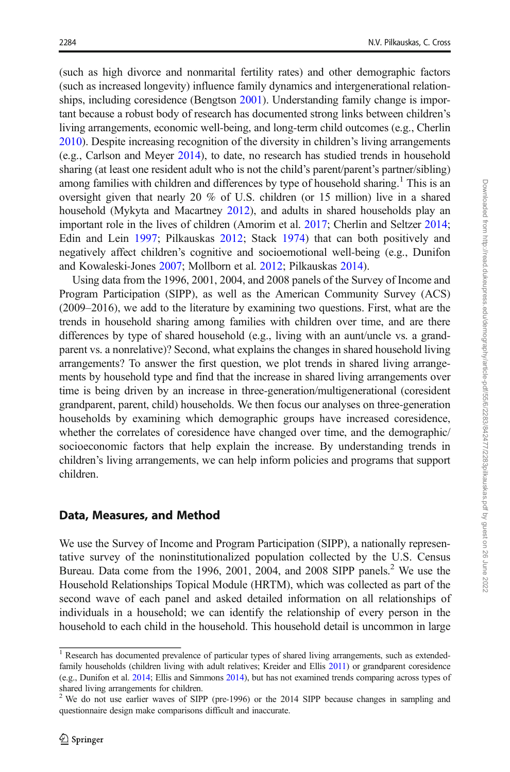(such as high divorce and nonmarital fertility rates) and other demographic factors (such as increased longevity) influence family dynamics and intergenerational relationships, including coresidence (Bengtson [2001](#page-13-0)). Understanding family change is important because a robust body of research has documented strong links between children's living arrangements, economic well-being, and long-term child outcomes (e.g., Cherlin [2010\)](#page-13-0). Despite increasing recognition of the diversity in children's living arrangements (e.g., Carlson and Meyer [2014\)](#page-13-0), to date, no research has studied trends in household sharing (at least one resident adult who is not the child's parent/parent's partner/sibling) among families with children and differences by type of household sharing.<sup>1</sup> This is an oversight given that nearly 20 % of U.S. children (or 15 million) live in a shared household (Mykyta and Macartney [2012](#page-14-0)), and adults in shared households play an important role in the lives of children (Amorim et al. [2017;](#page-13-0) Cherlin and Seltzer [2014;](#page-13-0) Edin and Lein [1997;](#page-14-0) Pilkauskas [2012;](#page-14-0) Stack [1974](#page-14-0)) that can both positively and negatively affect children's cognitive and socioemotional well-being (e.g., Dunifon and Kowaleski-Jones [2007;](#page-14-0) Mollborn et al. [2012;](#page-14-0) Pilkauskas [2014](#page-14-0)).

Using data from the 1996, 2001, 2004, and 2008 panels of the Survey of Income and Program Participation (SIPP), as well as the American Community Survey (ACS) (2009–2016), we add to the literature by examining two questions. First, what are the trends in household sharing among families with children over time, and are there differences by type of shared household (e.g., living with an aunt/uncle vs. a grandparent vs. a nonrelative)? Second, what explains the changes in shared household living arrangements? To answer the first question, we plot trends in shared living arrangements by household type and find that the increase in shared living arrangements over time is being driven by an increase in three-generation/multigenerational (coresident grandparent, parent, child) households. We then focus our analyses on three-generation households by examining which demographic groups have increased coresidence, whether the correlates of coresidence have changed over time, and the demographic/ socioeconomic factors that help explain the increase. By understanding trends in children's living arrangements, we can help inform policies and programs that support children.

## Data, Measures, and Method

We use the Survey of Income and Program Participation (SIPP), a nationally representative survey of the noninstitutionalized population collected by the U.S. Census Bureau. Data come from the 1996, 2001, 2004, and 2008 SIPP panels.<sup>2</sup> We use the Household Relationships Topical Module (HRTM), which was collected as part of the second wave of each panel and asked detailed information on all relationships of individuals in a household; we can identify the relationship of every person in the household to each child in the household. This household detail is uncommon in large

<sup>&</sup>lt;sup>1</sup> Research has documented prevalence of particular types of shared living arrangements, such as extendedfamily households (children living with adult relatives; Kreider and Ellis [2011\)](#page-14-0) or grandparent coresidence (e.g., Dunifon et al. [2014;](#page-14-0) Ellis and Simmons [2014](#page-14-0)), but has not examined trends comparing across types of shared living arrangements for children.

<sup>&</sup>lt;sup>2</sup> We do not use earlier waves of SIPP (pre-1996) or the 2014 SIPP because changes in sampling and questionnaire design make comparisons difficult and inaccurate.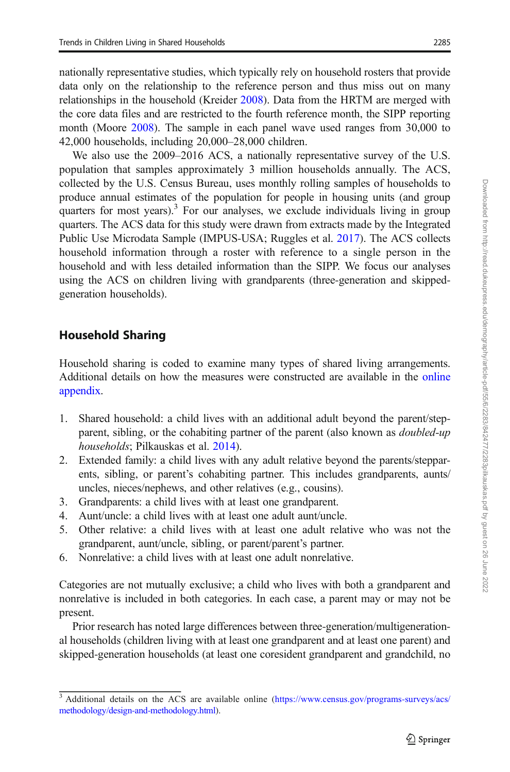nationally representative studies, which typically rely on household rosters that provide data only on the relationship to the reference person and thus miss out on many relationships in the household (Kreider [2008\)](#page-14-0). Data from the HRTM are merged with the core data files and are restricted to the fourth reference month, the SIPP reporting month (Moore [2008\)](#page-14-0). The sample in each panel wave used ranges from 30,000 to 42,000 households, including 20,000–28,000 children.

We also use the 2009–2016 ACS, a nationally representative survey of the U.S. population that samples approximately 3 million households annually. The ACS, collected by the U.S. Census Bureau, uses monthly rolling samples of households to produce annual estimates of the population for people in housing units (and group quarters for most years).<sup>3</sup> For our analyses, we exclude individuals living in group quarters. The ACS data for this study were drawn from extracts made by the Integrated Public Use Microdata Sample (IMPUS-USA; Ruggles et al. [2017](#page-14-0)). The ACS collects household information through a roster with reference to a single person in the household and with less detailed information than the SIPP. We focus our analyses using the ACS on children living with grandparents (three-generation and skippedgeneration households).

# Household Sharing

Household sharing is coded to examine many types of shared living arrangements. Additional details on how the measures were constructed are available in the online appendix.

- 1. Shared household: a child lives with an additional adult beyond the parent/stepparent, sibling, or the cohabiting partner of the parent (also known as *doubled-up* households; Pilkauskas et al. [2014](#page-14-0)).
- 2. Extended family: a child lives with any adult relative beyond the parents/stepparents, sibling, or parent's cohabiting partner. This includes grandparents, aunts/ uncles, nieces/nephews, and other relatives (e.g., cousins).
- 3. Grandparents: a child lives with at least one grandparent.
- 4. Aunt/uncle: a child lives with at least one adult aunt/uncle.
- 5. Other relative: a child lives with at least one adult relative who was not the grandparent, aunt/uncle, sibling, or parent/parent's partner.
- 6. Nonrelative: a child lives with at least one adult nonrelative.

Categories are not mutually exclusive; a child who lives with both a grandparent and nonrelative is included in both categories. In each case, a parent may or may not be present.

Prior research has noted large differences between three-generation/multigenerational households (children living with at least one grandparent and at least one parent) and skipped-generation households (at least one coresident grandparent and grandchild, no

<sup>&</sup>lt;sup>3</sup> Additional details on the ACS are available online ([https://www.census.gov/programs-surveys/acs/](https://www.census.gov/programs-surveys/acs/methodology/design-and-methodology.html) [methodology/design-and-methodology.html\)](https://www.census.gov/programs-surveys/acs/methodology/design-and-methodology.html).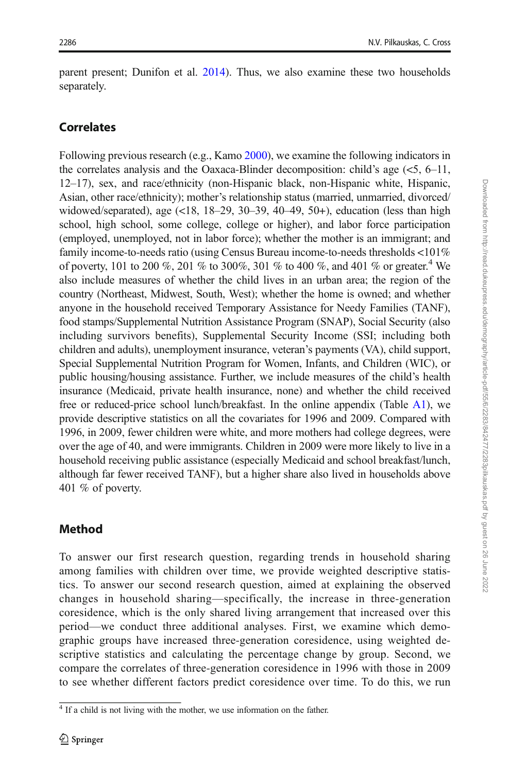parent present; Dunifon et al. [2014](#page-14-0)). Thus, we also examine these two households separately.

# **Correlates**

Following previous research (e.g., Kamo [2000](#page-14-0)), we examine the following indicators in the correlates analysis and the Oaxaca-Blinder decomposition: child's age  $(<5, 6-11$ , 12–17), sex, and race/ethnicity (non-Hispanic black, non-Hispanic white, Hispanic, Asian, other race/ethnicity); mother's relationship status (married, unmarried, divorced/ widowed/separated), age (<18, 18–29, 30–39, 40–49, 50+), education (less than high school, high school, some college, college or higher), and labor force participation (employed, unemployed, not in labor force); whether the mother is an immigrant; and family income-to-needs ratio (using Census Bureau income-to-needs thresholds <101% of poverty, 101 to 200 %, 201 % to 300%, 301 % to 400 %, and 401 % or greater.<sup>4</sup> We also include measures of whether the child lives in an urban area; the region of the country (Northeast, Midwest, South, West); whether the home is owned; and whether anyone in the household received Temporary Assistance for Needy Families (TANF), food stamps/Supplemental Nutrition Assistance Program (SNAP), Social Security (also including survivors benefits), Supplemental Security Income (SSI; including both children and adults), unemployment insurance, veteran's payments (VA), child support, Special Supplemental Nutrition Program for Women, Infants, and Children (WIC), or public housing/housing assistance. Further, we include measures of the child's health insurance (Medicaid, private health insurance, none) and whether the child received free or reduced-price school lunch/breakfast. In the online appendix (Table A1), we provide descriptive statistics on all the covariates for 1996 and 2009. Compared with 1996, in 2009, fewer children were white, and more mothers had college degrees, were over the age of 40, and were immigrants. Children in 2009 were more likely to live in a household receiving public assistance (especially Medicaid and school breakfast/lunch, although far fewer received TANF), but a higher share also lived in households above 401 % of poverty.

# Method

To answer our first research question, regarding trends in household sharing among families with children over time, we provide weighted descriptive statistics. To answer our second research question, aimed at explaining the observed changes in household sharing—specifically, the increase in three-generation coresidence, which is the only shared living arrangement that increased over this period—we conduct three additional analyses. First, we examine which demographic groups have increased three-generation coresidence, using weighted descriptive statistics and calculating the percentage change by group. Second, we compare the correlates of three-generation coresidence in 1996 with those in 2009 to see whether different factors predict coresidence over time. To do this, we run

<sup>&</sup>lt;sup>4</sup> If a child is not living with the mother, we use information on the father.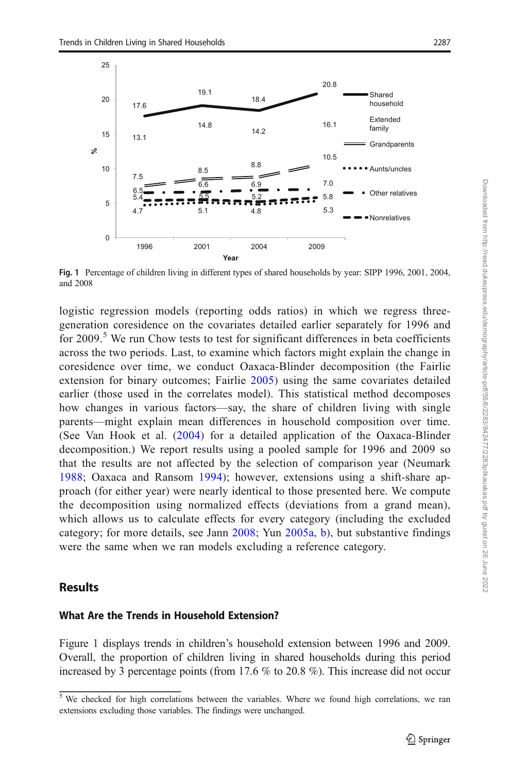

Fig. 1 Percentage of children living in different types of shared households by year: SIPP 1996, 2001, 2004, and 2008

logistic regression models (reporting odds ratios) in which we regress threegeneration coresidence on the covariates detailed earlier separately for 1996 and for 2009.<sup>5</sup> We run Chow tests to test for significant differences in beta coefficients across the two periods. Last, to examine which factors might explain the change in coresidence over time, we conduct Oaxaca-Blinder decomposition (the Fairlie extension for binary outcomes; Fairlie [2005](#page-14-0)) using the same covariates detailed earlier (those used in the correlates model). This statistical method decomposes how changes in various factors—say, the share of children living with single parents—might explain mean differences in household composition over time. (See Van Hook et al. [\(2004\)](#page-14-0) for a detailed application of the Oaxaca-Blinder decomposition.) We report results using a pooled sample for 1996 and 2009 so that the results are not affected by the selection of comparison year (Neumark [1988](#page-14-0); Oaxaca and Ransom [1994\)](#page-14-0); however, extensions using a shift-share approach (for either year) were nearly identical to those presented here. We compute the decomposition using normalized effects (deviations from a grand mean), which allows us to calculate effects for every category (including the excluded category; for more details, see Jann [2008](#page-14-0); Yun [2005a,](#page-14-0) [b](#page-14-0)), but substantive findings were the same when we ran models excluding a reference category.

### Results

## What Are the Trends in Household Extension?

Figure 1 displays trends in children's household extension between 1996 and 2009. Overall, the proportion of children living in shared households during this period increased by 3 percentage points (from 17.6 % to 20.8 %). This increase did not occur

<sup>&</sup>lt;sup>5</sup> We checked for high correlations between the variables. Where we found high correlations, we ran extensions excluding those variables. The findings were unchanged.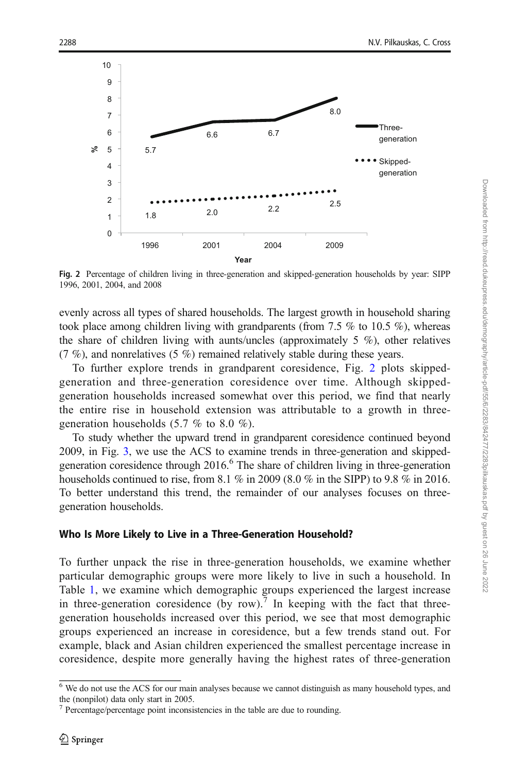

Fig. 2 Percentage of children living in three-generation and skipped-generation households by year: SIPP 1996, 2001, 2004, and 2008

evenly across all types of shared households. The largest growth in household sharing took place among children living with grandparents (from  $7.5\%$  to  $10.5\%$ ), whereas the share of children living with aunts/uncles (approximately  $5\%$ ), other relatives  $(7 \%)$ , and nonrelatives  $(5 \%)$  remained relatively stable during these years.

To further explore trends in grandparent coresidence, Fig. 2 plots skippedgeneration and three-generation coresidence over time. Although skippedgeneration households increased somewhat over this period, we find that nearly the entire rise in household extension was attributable to a growth in threegeneration households (5.7 % to 8.0 %).

To study whether the upward trend in grandparent coresidence continued beyond 2009, in Fig. [3](#page-6-0), we use the ACS to examine trends in three-generation and skippedgeneration coresidence through 2016.<sup>6</sup> The share of children living in three-generation households continued to rise, from 8.1 % in 2009 (8.0 % in the SIPP) to 9.8 % in 2016. To better understand this trend, the remainder of our analyses focuses on threegeneration households.

### Who Is More Likely to Live in a Three-Generation Household?

To further unpack the rise in three-generation households, we examine whether particular demographic groups were more likely to live in such a household. In Table [1,](#page-7-0) we examine which demographic groups experienced the largest increase in three-generation coresidence (by row).<sup>7</sup> In keeping with the fact that threegeneration households increased over this period, we see that most demographic groups experienced an increase in coresidence, but a few trends stand out. For example, black and Asian children experienced the smallest percentage increase in coresidence, despite more generally having the highest rates of three-generation

 $\overline{6}$  We do not use the ACS for our main analyses because we cannot distinguish as many household types, and the (nonpilot) data only start in 2005.

 $<sup>7</sup>$  Percentage/percentage point inconsistencies in the table are due to rounding.</sup>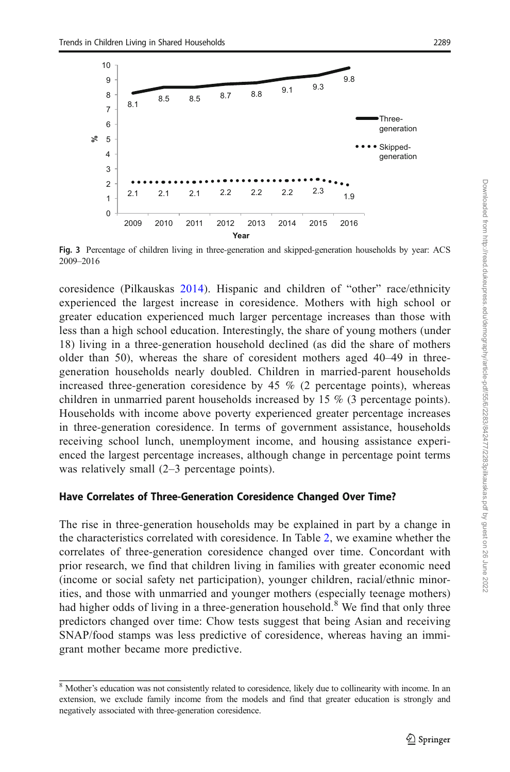<span id="page-6-0"></span>

Fig. 3 Percentage of children living in three-generation and skipped-generation households by year: ACS 2009–2016

coresidence (Pilkauskas [2014\)](#page-14-0). Hispanic and children of "other" race/ethnicity experienced the largest increase in coresidence. Mothers with high school or greater education experienced much larger percentage increases than those with less than a high school education. Interestingly, the share of young mothers (under 18) living in a three-generation household declined (as did the share of mothers older than 50), whereas the share of coresident mothers aged 40–49 in threegeneration households nearly doubled. Children in married-parent households increased three-generation coresidence by 45 % (2 percentage points), whereas children in unmarried parent households increased by 15 % (3 percentage points). Households with income above poverty experienced greater percentage increases in three-generation coresidence. In terms of government assistance, households receiving school lunch, unemployment income, and housing assistance experienced the largest percentage increases, although change in percentage point terms was relatively small (2–3 percentage points).

## Have Correlates of Three-Generation Coresidence Changed Over Time?

The rise in three-generation households may be explained in part by a change in the characteristics correlated with coresidence. In Table [2](#page-9-0), we examine whether the correlates of three-generation coresidence changed over time. Concordant with prior research, we find that children living in families with greater economic need (income or social safety net participation), younger children, racial/ethnic minorities, and those with unmarried and younger mothers (especially teenage mothers) had higher odds of living in a three-generation household.<sup>8</sup> We find that only three predictors changed over time: Chow tests suggest that being Asian and receiving SNAP/food stamps was less predictive of coresidence, whereas having an immigrant mother became more predictive.

<sup>&</sup>lt;sup>8</sup> Mother's education was not consistently related to coresidence, likely due to collinearity with income. In an extension, we exclude family income from the models and find that greater education is strongly and negatively associated with three-generation coresidence.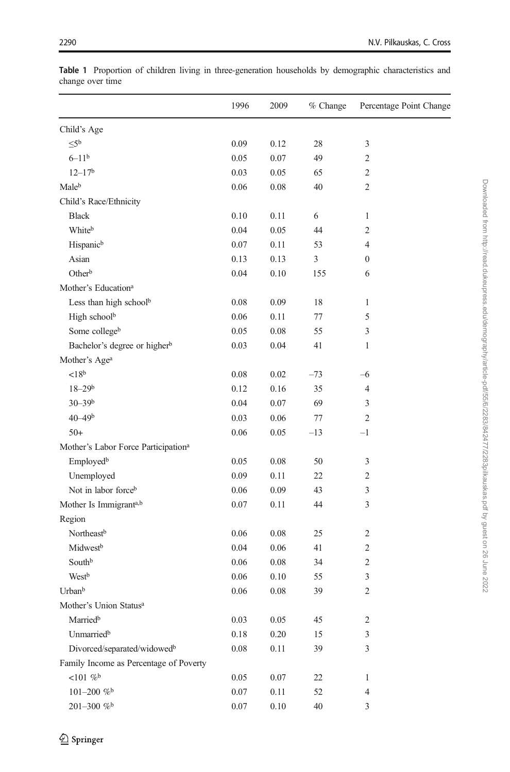|                                                 | 1996     | 2009     | % Change | Percentage Point Change |
|-------------------------------------------------|----------|----------|----------|-------------------------|
| Child's Age                                     |          |          |          |                         |
| $\leq 5^b$                                      | 0.09     | 0.12     | 28       | 3                       |
| $6 - 11^{b}$                                    | 0.05     | 0.07     | 49       | $\overline{c}$          |
| $12 - 17b$                                      | 0.03     | 0.05     | 65       | 2                       |
| Maleb                                           | 0.06     | 0.08     | 40       | 2                       |
| Child's Race/Ethnicity                          |          |          |          |                         |
| <b>Black</b>                                    | 0.10     | 0.11     | 6        | $\mathbf{1}$            |
| Whiteb                                          | 0.04     | 0.05     | 44       | 2                       |
| Hispanic <sup>b</sup>                           | 0.07     | 0.11     | 53       | 4                       |
| Asian                                           | 0.13     | 0.13     | 3        | $\boldsymbol{0}$        |
| Other <sup>b</sup>                              | 0.04     | 0.10     | 155      | 6                       |
| Mother's Education <sup>a</sup>                 |          |          |          |                         |
| Less than high schoolb                          | 0.08     | 0.09     | 18       | 1                       |
| High school <sup>b</sup>                        | 0.06     | 0.11     | 77       | 5                       |
| Some collegeb                                   | 0.05     | 0.08     | 55       | 3                       |
| Bachelor's degree or higher <sup>b</sup>        | 0.03     | 0.04     | 41       | $\mathbf{1}$            |
| Mother's Age <sup>a</sup>                       |          |          |          |                         |
| $<$ 18 <sup>b</sup>                             | 0.08     | 0.02     | $-73$    | $-6$                    |
| $18 - 29b$                                      | 0.12     | 0.16     | 35       | $\overline{4}$          |
| $30 - 39b$                                      | 0.04     | 0.07     | 69       | 3                       |
| $40 - 49$ <sup>b</sup>                          | 0.03     | 0.06     | 77       | $\overline{2}$          |
| $50+$                                           | 0.06     | 0.05     | $-13$    | $-1$                    |
| Mother's Labor Force Participation <sup>a</sup> |          |          |          |                         |
| Employed <sup>b</sup>                           | 0.05     | 0.08     | 50       | 3                       |
| Unemployed                                      | 0.09     | 0.11     | 22       | 2                       |
| Not in labor forceb                             | 0.06     | 0.09     | 43       | 3                       |
| Mother Is Immigranta,b                          | 0.07     | 0.11     | 44       | 3                       |
| Region                                          |          |          |          |                         |
| Northeast <sup>b</sup>                          | 0.06     | 0.08     | 25       | $\overline{c}$          |
| Midwest <sup>b</sup>                            | 0.04     | 0.06     | 41       | $\mathbf{2}$            |
| Southb                                          | 0.06     | 0.08     | 34       | 2                       |
| Westb                                           | 0.06     | 0.10     | 55       | 3                       |
| Urban <sup>b</sup>                              | 0.06     | 0.08     | 39       | 2                       |
| Mother's Union Status <sup>a</sup>              |          |          |          |                         |
| Married <sup>b</sup>                            | 0.03     | 0.05     | 45       | $\mathfrak{2}$          |
| Unmarriedb                                      | $0.18\,$ | $0.20\,$ | 15       | 3                       |
| Divorced/separated/widowed <sup>b</sup>         | 0.08     | 0.11     | 39       | 3                       |
| Family Income as Percentage of Poverty          |          |          |          |                         |
| ${<}101~\%$                                     | 0.05     | 0.07     | 22       | $\mathbf{1}$            |
| 101-200 $\%$ <sup>b</sup>                       | 0.07     | 0.11     | 52       | 4                       |
| 201-300 %b                                      | 0.07     | 0.10     | 40       | 3                       |

<span id="page-7-0"></span>Table 1 Proportion of children living in three-generation households by demographic characteristics and change over time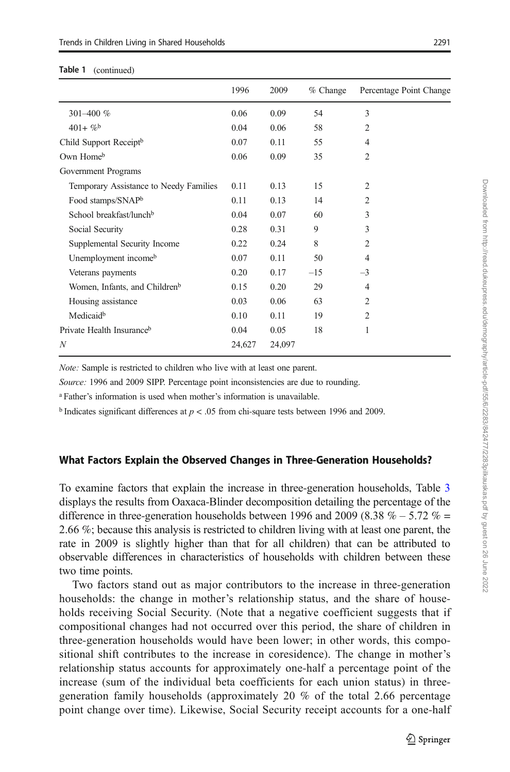#### Table 1 (continued) Table 1

|                                           | 1996   | 2009   | $%$ Change | Percentage Point Change |
|-------------------------------------------|--------|--------|------------|-------------------------|
| 301-400 $%$                               | 0.06   | 0.09   | 54         | 3                       |
| $401 + \%$                                | 0.04   | 0.06   | 58         | $\overline{2}$          |
| Child Support Receipt <sup>b</sup>        | 0.07   | 0.11   | 55         | $\overline{4}$          |
| Own Home <sup>b</sup>                     | 0.06   | 0.09   | 35         | $\overline{2}$          |
| Government Programs                       |        |        |            |                         |
| Temporary Assistance to Needy Families    | 0.11   | 0.13   | 15         | 2                       |
| Food stamps/SNAPb                         | 0.11   | 0.13   | 14         | $\overline{c}$          |
| School breakfast/lunchb                   | 0.04   | 0.07   | 60         | 3                       |
| Social Security                           | 0.28   | 0.31   | 9          | 3                       |
| Supplemental Security Income              | 0.22   | 0.24   | 8          | $\overline{2}$          |
| Unemployment income <sup>b</sup>          | 0.07   | 0.11   | 50         | $\overline{4}$          |
| Veterans payments                         | 0.20   | 0.17   | $-1.5$     | $-3$                    |
| Women, Infants, and Children <sup>b</sup> | 0.15   | 0.20   | 29         | $\overline{4}$          |
| Housing assistance                        | 0.03   | 0.06   | 63         | $\overline{2}$          |
| Medicaid <sup>b</sup>                     | 0.10   | 0.11   | 19         | $\overline{2}$          |
| Private Health Insurance <sup>b</sup>     | 0.04   | 0.05   | 18         | 1                       |
| N                                         | 24,627 | 24,097 |            |                         |

Note: Sample is restricted to children who live with at least one parent.

Source: 1996 and 2009 SIPP. Percentage point inconsistencies are due to rounding.

<sup>a</sup> Father's information is used when mother's information is unavailable.

<sup>b</sup> Indicates significant differences at  $p < .05$  from chi-square tests between 1996 and 2009.

#### What Factors Explain the Observed Changes in Three-Generation Households?

To examine factors that explain the increase in three-generation households, Table [3](#page-11-0) displays the results from Oaxaca-Blinder decomposition detailing the percentage of the difference in three-generation households between 1996 and 2009 (8.38  $% - 5.72$   $% =$ 2.66 %; because this analysis is restricted to children living with at least one parent, the rate in 2009 is slightly higher than that for all children) that can be attributed to observable differences in characteristics of households with children between these two time points.

Two factors stand out as major contributors to the increase in three-generation households: the change in mother's relationship status, and the share of households receiving Social Security. (Note that a negative coefficient suggests that if compositional changes had not occurred over this period, the share of children in three-generation households would have been lower; in other words, this compositional shift contributes to the increase in coresidence). The change in mother's relationship status accounts for approximately one-half a percentage point of the increase (sum of the individual beta coefficients for each union status) in threegeneration family households (approximately 20 % of the total 2.66 percentage point change over time). Likewise, Social Security receipt accounts for a one-half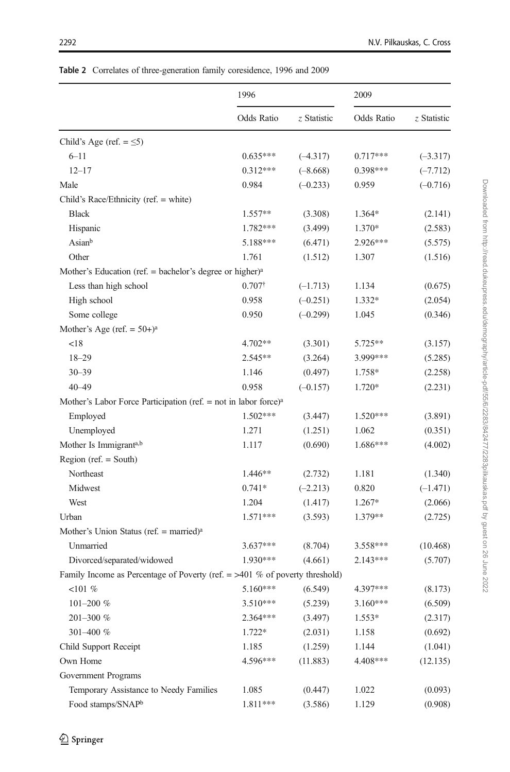<span id="page-9-0"></span>

|                                                                               | 1996           |             |            | 2009        |  |
|-------------------------------------------------------------------------------|----------------|-------------|------------|-------------|--|
|                                                                               | Odds Ratio     | z Statistic | Odds Ratio | z Statistic |  |
| Child's Age (ref. $= \leq 5$ )                                                |                |             |            |             |  |
| $6 - 11$                                                                      | $0.635***$     | $(-4.317)$  | $0.717***$ | $(-3.317)$  |  |
| $12 - 17$                                                                     | $0.312***$     | $(-8.668)$  | $0.398***$ | $(-7.712)$  |  |
| Male                                                                          | 0.984          | $(-0.233)$  | 0.959      | $(-0.716)$  |  |
| Child's Race/Ethnicity (ref. = white)                                         |                |             |            |             |  |
| <b>Black</b>                                                                  | $1.557**$      | (3.308)     | 1.364*     | (2.141)     |  |
| Hispanic                                                                      | $1.782***$     | (3.499)     | 1.370*     | (2.583)     |  |
| Asianb                                                                        | 5.188***       | (6.471)     | $2.926***$ | (5.575)     |  |
| Other                                                                         | 1.761          | (1.512)     | 1.307      | (1.516)     |  |
| Mother's Education (ref. $=$ bachelor's degree or higher) <sup>a</sup>        |                |             |            |             |  |
| Less than high school                                                         | $0.707\dagger$ | $(-1.713)$  | 1.134      | (0.675)     |  |
| High school                                                                   | 0.958          | $(-0.251)$  | $1.332*$   | (2.054)     |  |
| Some college                                                                  | 0.950          | $(-0.299)$  | 1.045      | (0.346)     |  |
| Mother's Age (ref. $= 50+$ ) <sup>a</sup>                                     |                |             |            |             |  |
| < 18                                                                          | $4.702**$      | (3.301)     | 5.725**    | (3.157)     |  |
| $18 - 29$                                                                     | $2.545**$      | (3.264)     | 3.999***   | (5.285)     |  |
| $30 - 39$                                                                     | 1.146          | (0.497)     | 1.758*     | (2.258)     |  |
| $40 - 49$                                                                     | 0.958          | $(-0.157)$  | 1.720*     | (2.231)     |  |
| Mother's Labor Force Participation (ref. = not in labor force) <sup>a</sup>   |                |             |            |             |  |
| Employed                                                                      | $1.502***$     | (3.447)     | $1.520***$ | (3.891)     |  |
| Unemployed                                                                    | 1.271          | (1.251)     | 1.062      | (0.351)     |  |
| Mother Is Immigranta,b                                                        | 1.117          | (0.690)     | $1.686***$ | (4.002)     |  |
| Region (ref. $=$ South)                                                       |                |             |            |             |  |
| Northeast                                                                     | 1.446**        | (2.732)     | 1.181      | (1.340)     |  |
| Midwest                                                                       | $0.741*$       | $(-2.213)$  | 0.820      | $(-1.471)$  |  |
| West                                                                          | 1.204          | (1.417)     | 1.267*     | (2.066)     |  |
| Urban                                                                         | $1.571***$     | (3.593)     | 1.379**    | (2.725)     |  |
| Mother's Union Status (ref. = married) <sup>a</sup>                           |                |             |            |             |  |
| Unmarried                                                                     | $3.637***$     | (8.704)     | 3.558***   | (10.468)    |  |
| Divorced/separated/widowed                                                    | 1.930***       | (4.661)     | $2.143***$ | (5.707)     |  |
| Family Income as Percentage of Poverty (ref. $=$ >401 % of poverty threshold) |                |             |            |             |  |
| $101\%$                                                                       | $5.160***$     | (6.549)     | 4.397***   | (8.173)     |  |
| 101-200 $%$                                                                   | $3.510***$     | (5.239)     | 3.160***   | (6.509)     |  |
| 201-300 %                                                                     | 2.364***       | (3.497)     | 1.553*     | (2.317)     |  |
| 301-400 %                                                                     | 1.722*         | (2.031)     | 1.158      | (0.692)     |  |
| Child Support Receipt                                                         | 1.185          | (1.259)     | 1.144      | (1.041)     |  |
| Own Home                                                                      | 4.596***       | (11.883)    | 4.408***   | (12.135)    |  |
| Government Programs                                                           |                |             |            |             |  |
| Temporary Assistance to Needy Families                                        | 1.085          | (0.447)     | 1.022      | (0.093)     |  |
| Food stamps/SNAPb                                                             | 1.811***       | (3.586)     | 1.129      | (0.908)     |  |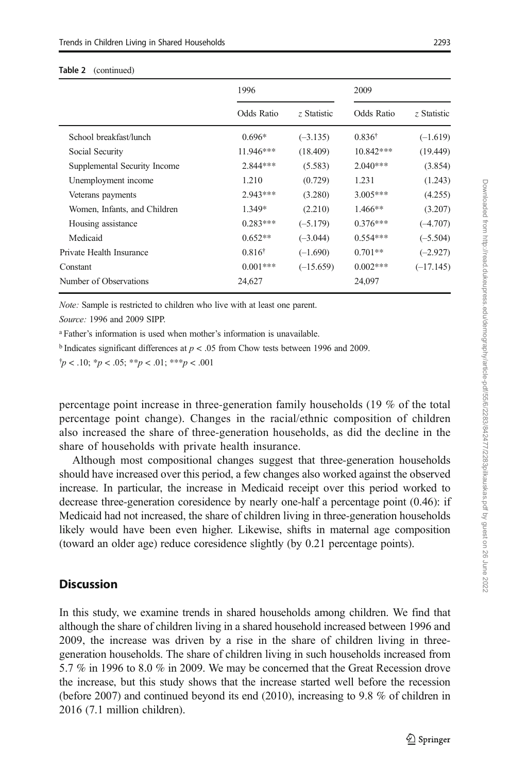#### Table 2 (continued) Table 2

|                              | 1996              |             | 2009               |             |
|------------------------------|-------------------|-------------|--------------------|-------------|
|                              | Odds Ratio        | z Statistic | Odds Ratio         | z Statistic |
| School breakfast/lunch       | $0.696*$          | $(-3.135)$  | 0.836 <sup>†</sup> | $(-1.619)$  |
| Social Security              | 11.946***         | (18.409)    | 10.842***          | (19.449)    |
| Supplemental Security Income | $2.844***$        | (5.583)     | $2.040***$         | (3.854)     |
| Unemployment income          | 1.210             | (0.729)     | 1.231              | (1.243)     |
| Veterans payments            | $2.943***$        | (3.280)     | $3.005***$         | (4.255)     |
| Women, Infants, and Children | 1.349*            | (2.210)     | $1.466**$          | (3.207)     |
| Housing assistance           | $0.283***$        | $(-5.179)$  | $0.376***$         | $(-4.707)$  |
| Medicaid                     | $0.652**$         | $(-3.044)$  | $0.554***$         | $(-5.504)$  |
| Private Health Insurance     | $0.816^{\dagger}$ | $(-1.690)$  | $0.701**$          | $(-2.927)$  |
| Constant                     | $0.001***$        | $(-15.659)$ | $0.002***$         | $(-17.145)$ |
| Number of Observations       | 24,627            |             | 24,097             |             |

Note: Sample is restricted to children who live with at least one parent.

Source: 1996 and 2009 SIPP.

<sup>a</sup> Father's information is used when mother's information is unavailable.

<sup>b</sup> Indicates significant differences at  $p < .05$  from Chow tests between 1996 and 2009.

 $\frac{1}{p}$  < .10;  $\frac{1}{p}$  < .05;  $\frac{1}{p}$  < .01;  $\frac{1}{p}$  < .001

percentage point increase in three-generation family households (19 % of the total percentage point change). Changes in the racial/ethnic composition of children also increased the share of three-generation households, as did the decline in the share of households with private health insurance.

Although most compositional changes suggest that three-generation households should have increased over this period, a few changes also worked against the observed increase. In particular, the increase in Medicaid receipt over this period worked to decrease three-generation coresidence by nearly one-half a percentage point (0.46): if Medicaid had not increased, the share of children living in three-generation households likely would have been even higher. Likewise, shifts in maternal age composition (toward an older age) reduce coresidence slightly (by 0.21 percentage points).

### **Discussion**

In this study, we examine trends in shared households among children. We find that although the share of children living in a shared household increased between 1996 and 2009, the increase was driven by a rise in the share of children living in threegeneration households. The share of children living in such households increased from 5.7 % in 1996 to 8.0 % in 2009. We may be concerned that the Great Recession drove the increase, but this study shows that the increase started well before the recession (before 2007) and continued beyond its end (2010), increasing to 9.8 % of children in 2016 (7.1 million children).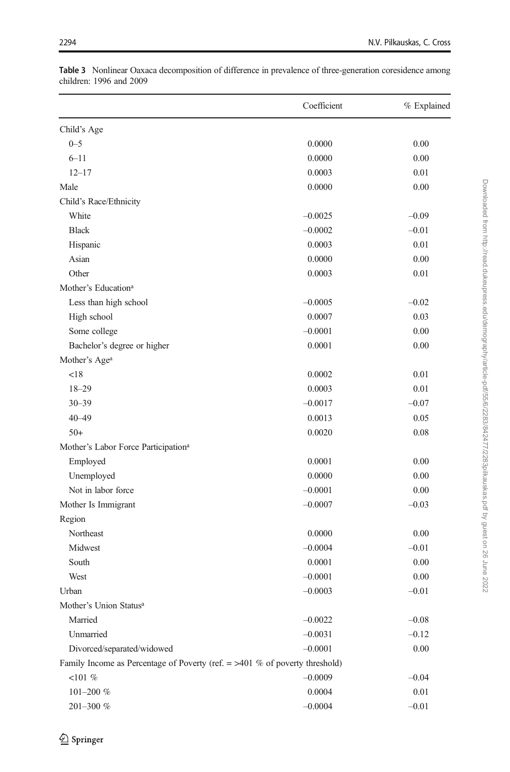|                                                                               | Coefficient | % Explained |
|-------------------------------------------------------------------------------|-------------|-------------|
| Child's Age                                                                   |             |             |
| $0 - 5$                                                                       | 0.0000      | 0.00        |
| $6 - 11$                                                                      | 0.0000      | 0.00        |
| $12 - 17$                                                                     | 0.0003      | 0.01        |
| Male                                                                          | 0.0000      | 0.00        |
| Child's Race/Ethnicity                                                        |             |             |
| White                                                                         | $-0.0025$   | $-0.09$     |
| <b>Black</b>                                                                  | $-0.0002$   | $-0.01$     |
| Hispanic                                                                      | 0.0003      | 0.01        |
| Asian                                                                         | 0.0000      | 0.00        |
| Other                                                                         | 0.0003      | 0.01        |
| Mother's Education <sup>a</sup>                                               |             |             |
| Less than high school                                                         | $-0.0005$   | $-0.02$     |
| High school                                                                   | 0.0007      | 0.03        |
| Some college                                                                  | $-0.0001$   | 0.00        |
| Bachelor's degree or higher                                                   | 0.0001      | 0.00        |
| Mother's Age <sup>a</sup>                                                     |             |             |
| < 18                                                                          | 0.0002      | 0.01        |
| $18 - 29$                                                                     | 0.0003      | 0.01        |
| $30 - 39$                                                                     | $-0.0017$   | $-0.07$     |
| $40 - 49$                                                                     | 0.0013      | 0.05        |
| $50+$                                                                         | 0.0020      | 0.08        |
| Mother's Labor Force Participation <sup>a</sup>                               |             |             |
| Employed                                                                      | 0.0001      | 0.00        |
| Unemployed                                                                    | 0.0000      | 0.00        |
| Not in labor force                                                            | $-0.0001$   | 0.00        |
| Mother Is Immigrant                                                           | $-0.0007$   | $-0.03$     |
| Region                                                                        |             |             |
| Northeast                                                                     | 0.0000      | 0.00        |
| Midwest                                                                       | $-0.0004$   | $-0.01$     |
| South                                                                         | 0.0001      | 0.00        |
| West                                                                          | $-0.0001$   | 0.00        |
| Urban                                                                         | $-0.0003$   | $-0.01$     |
| Mother's Union Status <sup>a</sup>                                            |             |             |
| Married                                                                       | $-0.0022$   | $-0.08$     |
| Unmarried                                                                     | $-0.0031$   | $-0.12$     |
| Divorced/separated/widowed                                                    | $-0.0001$   | 0.00        |
| Family Income as Percentage of Poverty (ref. $=$ >401 % of poverty threshold) |             |             |
| <101%                                                                         | $-0.0009$   | $-0.04$     |
| 101–200 $\%$                                                                  | 0.0004      | 0.01        |
| 201-300 %                                                                     | $-0.0004$   | $-0.01$     |

<span id="page-11-0"></span>Table 3 Nonlinear Oaxaca decomposition of difference in prevalence of three-generation coresidence among children: 1996 and 2009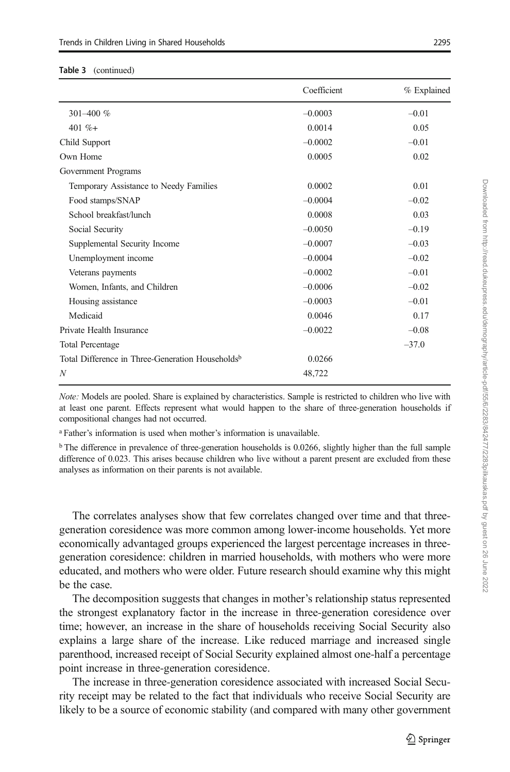| Table 3 | (continued) |
|---------|-------------|
|---------|-------------|

|                                                              | Coefficient | % Explained |
|--------------------------------------------------------------|-------------|-------------|
| 301-400 %                                                    | $-0.0003$   | $-0.01$     |
| 401 %+                                                       | 0.0014      | 0.05        |
| Child Support                                                | $-0.0002$   | $-0.01$     |
| Own Home                                                     | 0.0005      | 0.02        |
| Government Programs                                          |             |             |
| Temporary Assistance to Needy Families                       | 0.0002      | 0.01        |
| Food stamps/SNAP                                             | $-0.0004$   | $-0.02$     |
| School breakfast/lunch                                       | 0.0008      | 0.03        |
| Social Security                                              | $-0.0050$   | $-0.19$     |
| Supplemental Security Income                                 | $-0.0007$   | $-0.03$     |
| Unemployment income                                          | $-0.0004$   | $-0.02$     |
| Veterans payments                                            | $-0.0002$   | $-0.01$     |
| Women, Infants, and Children                                 | $-0.0006$   | $-0.02$     |
| Housing assistance                                           | $-0.0003$   | $-0.01$     |
| Medicaid                                                     | 0.0046      | 0.17        |
| Private Health Insurance                                     | $-0.0022$   | $-0.08$     |
| Total Percentage                                             |             | $-37.0$     |
| Total Difference in Three-Generation Households <sup>b</sup> | 0.0266      |             |
| N                                                            | 48,722      |             |

Note: Models are pooled. Share is explained by characteristics. Sample is restricted to children who live with at least one parent. Effects represent what would happen to the share of three-generation households if compositional changes had not occurred.

<sup>a</sup> Father's information is used when mother's information is unavailable.

<sup>b</sup> The difference in prevalence of three-generation households is 0.0266, slightly higher than the full sample difference of 0.023. This arises because children who live without a parent present are excluded from these analyses as information on their parents is not available.

The correlates analyses show that few correlates changed over time and that threegeneration coresidence was more common among lower-income households. Yet more economically advantaged groups experienced the largest percentage increases in threegeneration coresidence: children in married households, with mothers who were more educated, and mothers who were older. Future research should examine why this might be the case.

The decomposition suggests that changes in mother's relationship status represented the strongest explanatory factor in the increase in three-generation coresidence over time; however, an increase in the share of households receiving Social Security also explains a large share of the increase. Like reduced marriage and increased single parenthood, increased receipt of Social Security explained almost one-half a percentage point increase in three-generation coresidence.

The increase in three-generation coresidence associated with increased Social Security receipt may be related to the fact that individuals who receive Social Security are likely to be a source of economic stability (and compared with many other government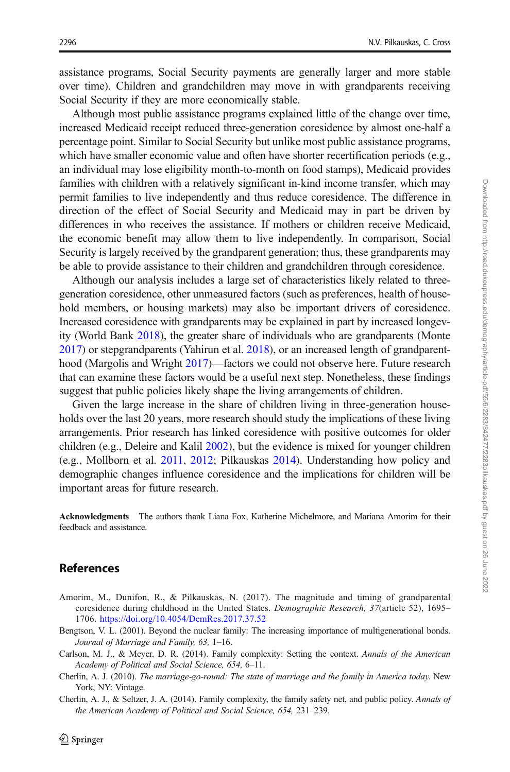<span id="page-13-0"></span>assistance programs, Social Security payments are generally larger and more stable over time). Children and grandchildren may move in with grandparents receiving Social Security if they are more economically stable.

Although most public assistance programs explained little of the change over time, increased Medicaid receipt reduced three-generation coresidence by almost one-half a percentage point. Similar to Social Security but unlike most public assistance programs, which have smaller economic value and often have shorter recertification periods (e.g., an individual may lose eligibility month-to-month on food stamps), Medicaid provides families with children with a relatively significant in-kind income transfer, which may permit families to live independently and thus reduce coresidence. The difference in direction of the effect of Social Security and Medicaid may in part be driven by differences in who receives the assistance. If mothers or children receive Medicaid, the economic benefit may allow them to live independently. In comparison, Social Security is largely received by the grandparent generation; thus, these grandparents may be able to provide assistance to their children and grandchildren through coresidence.

Although our analysis includes a large set of characteristics likely related to threegeneration coresidence, other unmeasured factors (such as preferences, health of household members, or housing markets) may also be important drivers of coresidence. Increased coresidence with grandparents may be explained in part by increased longevity (World Bank [2018\)](#page-14-0), the greater share of individuals who are grandparents (Monte [2017\)](#page-14-0) or stepgrandparents (Yahirun et al. [2018](#page-14-0)), or an increased length of grandparenthood (Margolis and Wright [2017\)](#page-14-0)—factors we could not observe here. Future research that can examine these factors would be a useful next step. Nonetheless, these findings suggest that public policies likely shape the living arrangements of children.

Given the large increase in the share of children living in three-generation households over the last 20 years, more research should study the implications of these living arrangements. Prior research has linked coresidence with positive outcomes for older children (e.g., Deleire and Kalil [2002\)](#page-14-0), but the evidence is mixed for younger children (e.g., Mollborn et al. [2011](#page-14-0), [2012;](#page-14-0) Pilkauskas [2014](#page-14-0)). Understanding how policy and demographic changes influence coresidence and the implications for children will be important areas for future research.

Acknowledgments The authors thank Liana Fox, Katherine Michelmore, and Mariana Amorim for their feedback and assistance.

### References

- Amorim, M., Dunifon, R., & Pilkauskas, N. (2017). The magnitude and timing of grandparental coresidence during childhood in the United States. Demographic Research, 37(article 52), 1695– 1706. <https://doi.org/10.4054/DemRes.2017.37.52>
- Bengtson, V. L. (2001). Beyond the nuclear family: The increasing importance of multigenerational bonds. Journal of Marriage and Family, 63, 1–16.
- Carlson, M. J., & Meyer, D. R. (2014). Family complexity: Setting the context. Annals of the American Academy of Political and Social Science, 654, 6–11.
- Cherlin, A. J. (2010). The marriage-go-round: The state of marriage and the family in America today. New York, NY: Vintage.
- Cherlin, A. J., & Seltzer, J. A. (2014). Family complexity, the family safety net, and public policy. Annals of the American Academy of Political and Social Science, 654, 231–239.